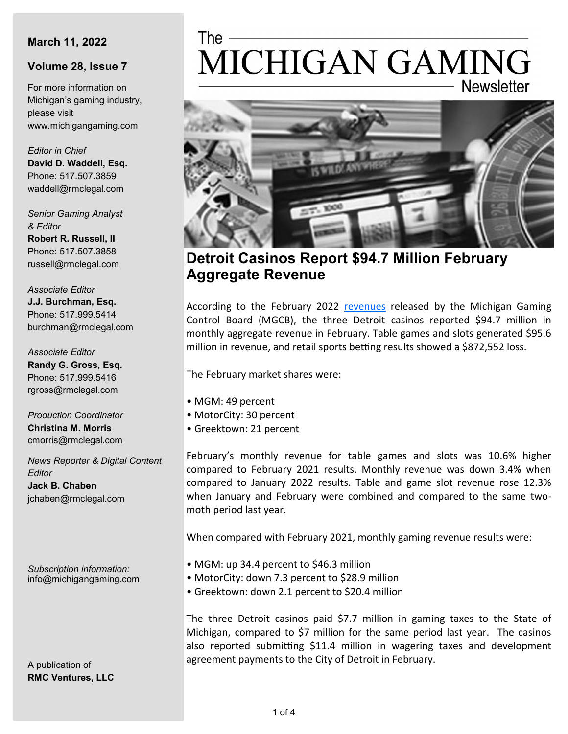#### **March 11, 2022**

#### **Volume 28, Issue 7**

For more information on Michigan's gaming industry, please visit www.michigangaming.com

*Editor in Chief* **David D. Waddell, Esq.** Phone: 517.507.3859 waddell@rmclegal.com

*Senior Gaming Analyst & Editor* **Robert R. Russell, II**

Phone: 517.507.3858 russell@rmclegal.com

*Associate Editor* **J.J. Burchman, Esq.** Phone: 517.999.5414 burchman@rmclegal.com

*Associate Editor* **Randy G. Gross, Esq.** Phone: 517.999.5416 rgross@rmclegal.com

*Production Coordinator* **Christina M. Morris** cmorris@rmclegal.com

*News Reporter & Digital Content Editor* **Jack B. Chaben** jchaben@rmclegal.com

*Subscription information:* info@michigangaming.com

A publication of **RMC Ventures, LLC**

# The -MICHIGAN GAMING **Newsletter**



**Detroit Casinos Report \$94.7 Million February Aggregate Revenue**

According to the February 2022 [revenues](https://content.govdelivery.com/accounts/MIGCB/bulletins/30e3d24) released by the Michigan Gaming Control Board (MGCB), the three Detroit casinos reported \$94.7 million in monthly aggregate revenue in February. Table games and slots generated \$95.6 million in revenue, and retail sports betting results showed a \$872,552 loss.

The February market shares were:

- MGM: 49 percent
- MotorCity: 30 percent
- Greektown: 21 percent

February's monthly revenue for table games and slots was 10.6% higher compared to February 2021 results. Monthly revenue was down 3.4% when compared to January 2022 results. Table and game slot revenue rose 12.3% when January and February were combined and compared to the same twomoth period last year.

When compared with February 2021, monthly gaming revenue results were:

- MGM: up 34.4 percent to \$46.3 million
- MotorCity: down 7.3 percent to \$28.9 million
- Greektown: down 2.1 percent to \$20.4 million

The three Detroit casinos paid \$7.7 million in gaming taxes to the State of Michigan, compared to \$7 million for the same period last year. The casinos also reported submitting \$11.4 million in wagering taxes and development agreement payments to the City of Detroit in February.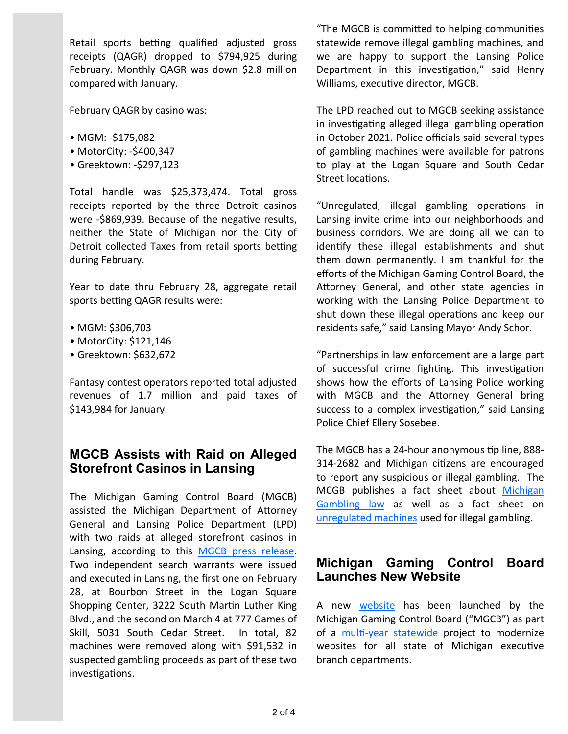Retail sports betting qualified adjusted gross receipts (QAGR) dropped to \$794,925 during February. Monthly QAGR was down \$2.8 million compared with January.

February QAGR by casino was:

- MGM: -\$175,082
- MotorCity: -\$400,347
- Greektown: -\$297,123

Total handle was \$25,373,474. Total gross receipts reported by the three Detroit casinos were -\$869,939. Because of the negative results, neither the State of Michigan nor the City of Detroit collected Taxes from retail sports betting during February.

Year to date thru February 28, aggregate retail sports betting QAGR results were:

- MGM: \$306,703
- MotorCity: \$121,146
- Greektown: \$632,672

Fantasy contest operators reported total adjusted revenues of 1.7 million and paid taxes of \$143,984 for January.

# **MGCB Assists with Raid on Alleged Storefront Casinos in Lansing**

The Michigan Gaming Control Board (MGCB) assisted the Michigan Department of Attorney General and Lansing Police Department (LPD) with two raids at alleged storefront casinos in Lansing, according to this [MGCB press release.](https://content.govdelivery.com/accounts/MIGCB/bulletins/30dc85b) Two independent search warrants were issued and executed in Lansing, the first one on February 28, at Bourbon Street in the Logan Square Shopping Center, 3222 South Martin Luther King Blvd., and the second on March 4 at 777 Games of Skill, 5031 South Cedar Street. In total, 82 machines were removed along with \$91,532 in suspected gambling proceeds as part of these two investigations.

"The MGCB is committed to helping communities statewide remove illegal gambling machines, and we are happy to support the Lansing Police Department in this investigation," said Henry Williams, executive director, MGCB.

The LPD reached out to MGCB seeking assistance in investigating alleged illegal gambling operation in October 2021. Police officials said several types of gambling machines were available for patrons to play at the Logan Square and South Cedar Street locations.

"Unregulated, illegal gambling operations in Lansing invite crime into our neighborhoods and business corridors. We are doing all we can to identify these illegal establishments and shut them down permanently. I am thankful for the efforts of the Michigan Gaming Control Board, the Attorney General, and other state agencies in working with the Lansing Police Department to shut down these illegal operations and keep our residents safe," said Lansing Mayor Andy Schor.

"Partnerships in law enforcement are a large part of successful crime fighting. This investigation shows how the efforts of Lansing Police working with MGCB and the Attorney General bring success to a complex investigation," said Lansing Police Chief Ellery Sosebee.

The MGCB has a 24-hour anonymous tip line, 888- 314-2682 and Michigan citizens are encouraged to report any suspicious or illegal gambling. The MCGB publishes a fact sheet about [Michigan](https://www.michigan.gov/mgcb/-/media/Project/Websites/mgcb/Home-Page-Resources/Bulletin_on_Illegal_Gaming_745572_7.pdf?rev=65d5f154dcbe418ca76c2e916eadcca5&hash=1096E9393005630132A820902F20C44F)  [Gambling law](https://www.michigan.gov/mgcb/-/media/Project/Websites/mgcb/Home-Page-Resources/Bulletin_on_Illegal_Gaming_745572_7.pdf?rev=65d5f154dcbe418ca76c2e916eadcca5&hash=1096E9393005630132A820902F20C44F) as well as a fact sheet on [unregulated machines](https://www.michigan.gov/mgcb/-/media/Project/Websites/mgcb/Home-Page-Resources/Fact_Sheet-Unregulated_Gaming_Machines_745571_7.pdf?rev=241ed47602e34bb3b4b295116331c563&hash=D033FBEA4263F7E6AB30EDB67B933812) used for illegal gambling.

## **Michigan Gaming Control Board Launches New Website**

A new [website](https://www.michigan.gov/mgcb) has been launched by the Michigan Gaming Control Board ("MGCB") as part of a multi-[year statewide](https://www.michigan.gov/dtmb/about/newsroom/all-news/2022/01/11/state-of-michigan-launches-new-websites-to-modernize-technology-and-improve-user-experience) project to modernize websites for all state of Michigan executive branch departments.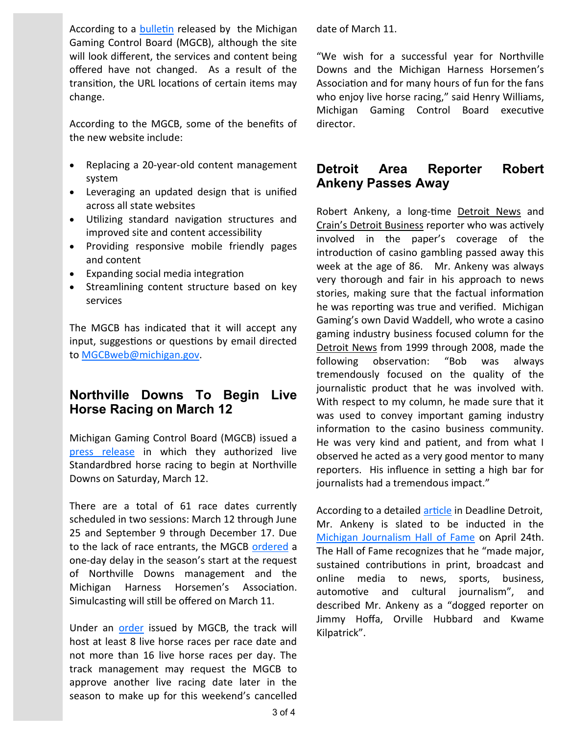According to a [bulletin](https://content.govdelivery.com/accounts/MIGCB/bulletins/30dc0cb) released by the Michigan Gaming Control Board (MGCB), although the site will look different, the services and content being offered have not changed. As a result of the transition, the URL locations of certain items may change.

According to the MGCB, some of the benefits of the new website include:

- Replacing a 20-year-old content management system
- Leveraging an updated design that is unified across all state websites
- Utilizing standard navigation structures and improved site and content accessibility
- Providing responsive mobile friendly pages and content
- Expanding social media integration
- Streamlining content structure based on key services

The MGCB has indicated that it will accept any input, suggestions or questions by email directed to [MGCBweb@michigan.gov.](mailto:MGCBweb@michigan.gov.) 

# **Northville Downs To Begin Live Horse Racing on March 12**

Michigan Gaming Control Board (MGCB) issued a [press release](https://content.govdelivery.com/accounts/MIGCB/bulletins/30e0ee3) in which they authorized live Standardbred horse racing to begin at Northville Downs on Saturday, March 12.

There are a total of 61 race dates currently scheduled in two sessions: March 12 through June 25 and September 9 through December 17. Due to the lack of race entrants, the MGCB [ordered](https://www.michigan.gov/mgcb/-/media/Project/Websites/mgcb/Horse-Racing-Executive-Orders/2022/Northville-Downs-Order-Cancelling-Live-Race-Date-2022-03-08.pdf?rev=f6774c551e504b4693b1d76321b8aad7&hash=CBB49BDBC3D11C1EC2F96600FA37C2CF) a one-day delay in the season's start at the request of Northville Downs management and the Michigan Harness Horsemen's Association. Simulcasting will still be offered on March 11.

Under an [order](https://www.michigan.gov/-/media/Project/Websites/mgcb/2022_NVD_Race_Meeting_License_2021-10-27.pdf?rev=638a6c27b61541f5aee6b1666c10904c) issued by MGCB, the track will host at least 8 live horse races per race date and not more than 16 live horse races per day. The track management may request the MGCB to approve another live racing date later in the season to make up for this weekend's cancelled

date of March 11.

"We wish for a successful year for Northville Downs and the Michigan Harness Horsemen's Association and for many hours of fun for the fans who enjoy live horse racing," said Henry Williams, Michigan Gaming Control Board executive director.

# **Detroit Area Reporter Robert Ankeny Passes Away**

Robert Ankeny, a long-time Detroit News and Crain's Detroit Business reporter who was actively involved in the paper's coverage of the introduction of casino gambling passed away this week at the age of 86. Mr. Ankeny was always very thorough and fair in his approach to news stories, making sure that the factual information he was reporting was true and verified. Michigan Gaming's own David Waddell, who wrote a casino gaming industry business focused column for the Detroit News from 1999 through 2008, made the following observation: "Bob was always tremendously focused on the quality of the journalistic product that he was involved with. With respect to my column, he made sure that it was used to convey important gaming industry information to the casino business community. He was very kind and patient, and from what I observed he acted as a very good mentor to many reporters. His influence in setting a high bar for journalists had a tremendous impact."

According to a detailed [article](https://www.deadlinedetroit.com/articles/30047/veteran_detroit_newsman_robert_ankeny_dies_weeks_before_being_honored_at_michigan_journalism_hall_of_fame) in Deadline Detroit, Mr. Ankeny is slated to be inducted in the [Michigan Journalism Hall of Fame](https://mijournalismhalloffame.org/) on April 24th. The Hall of Fame recognizes that he "made major, sustained contributions in print, broadcast and online media to news, sports, business, automotive and cultural journalism", and described Mr. Ankeny as a "dogged reporter on Jimmy Hoffa, Orville Hubbard and Kwame Kilpatrick".